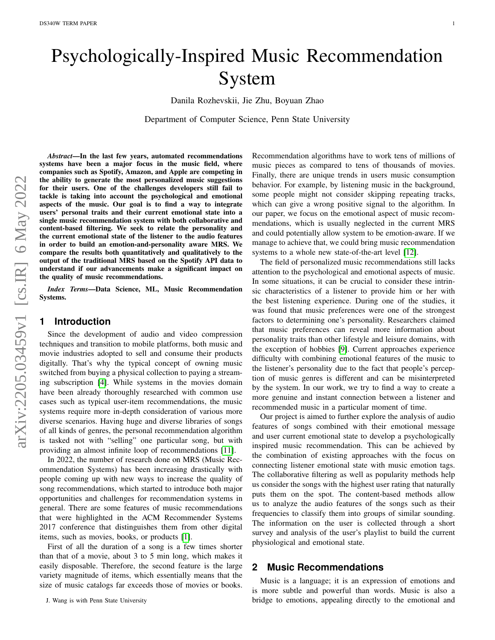# Psychologically-Inspired Music Recommendation System

Danila Rozhevskii, Jie Zhu, Boyuan Zhao

Department of Computer Science, Penn State University

*Abstract*—In the last few years, automated recommendations systems have been a major focus in the music field, where companies such as Spotify, Amazon, and Apple are competing in the ability to generate the most personalized music suggestions for their users. One of the challenges developers still fail to tackle is taking into account the psychological and emotional aspects of the music. Our goal is to find a way to integrate users' personal traits and their current emotional state into a single music recommendation system with both collaborative and content-based filtering. We seek to relate the personality and the current emotional state of the listener to the audio features in order to build an emotion-and-personality aware MRS. We compare the results both quantitatively and qualitatively to the output of the traditional MRS based on the Spotify API data to understand if our advancements make a significant impact on the quality of music recommendations.

*Index Terms*—Data Science, ML, Music Recommendation Systems.

#### **1 Introduction**

Since the development of audio and video compression techniques and transition to mobile platforms, both music and movie industries adopted to sell and consume their products digitally. That's why the typical concept of owning music switched from buying a physical collection to paying a streaming subscription [\[4\]](#page-5-0). While systems in the movies domain have been already thoroughly researched with common use cases such as typical user-item recommendations, the music systems require more in-depth consideration of various more diverse scenarios. Having huge and diverse libraries of songs of all kinds of genres, the personal recommendation algorithm is tasked not with "selling" one particular song, but with providing an almost infinite loop of recommendations [\[11\]](#page-5-1).

In 2022, the number of research done on MRS (Music Recommendation Systems) has been increasing drastically with people coming up with new ways to increase the quality of song recommendations, which started to introduce both major opportunities and challenges for recommendation systems in general. There are some features of music recommendations that were highlighted in the ACM Recommender Systems 2017 conference that distinguishes them from other digital items, such as movies, books, or products [\[1\]](#page-5-2).

First of all the duration of a song is a few times shorter than that of a movie, about 3 to 5 min long, which makes it easily disposable. Therefore, the second feature is the large variety magnitude of items, which essentially means that the size of music catalogs far exceeds those of movies or books.

Recommendation algorithms have to work tens of millions of music pieces as compared to tens of thousands of movies. Finally, there are unique trends in users music consumption behavior. For example, by listening music in the background, some people might not consider skipping repeating tracks, which can give a wrong positive signal to the algorithm. In our paper, we focus on the emotional aspect of music recommendations, which is usually neglected in the current MRS and could potentially allow system to be emotion-aware. If we manage to achieve that, we could bring music recommendation systems to a whole new state-of-the-art level [\[12\]](#page-6-0).

The field of personalized music recommendations still lacks attention to the psychological and emotional aspects of music. In some situations, it can be crucial to consider these intrinsic characteristics of a listener to provide him or her with the best listening experience. During one of the studies, it was found that music preferences were one of the strongest factors to determining one's personality. Researchers claimed that music preferences can reveal more information about personality traits than other lifestyle and leisure domains, with the exception of hobbies [\[9\]](#page-5-3). Current approaches experience difficulty with combining emotional features of the music to the listener's personality due to the fact that people's perception of music genres is different and can be misinterpreted by the system. In our work, we try to find a way to create a more genuine and instant connection between a listener and recommended music in a particular moment of time.

Our project is aimed to further explore the analysis of audio features of songs combined with their emotional message and user current emotional state to develop a psychologically inspired music recommendation. This can be achieved by the combination of existing approaches with the focus on connecting listener emotional state with music emotion tags. The collaborative filtering as well as popularity methods help us consider the songs with the highest user rating that naturally puts them on the spot. The content-based methods allow us to analyze the audio features of the songs such as their frequencies to classify them into groups of similar sounding. The information on the user is collected through a short survey and analysis of the user's playlist to build the current physiological and emotional state.

#### **2 Music Recommendations**

Music is a language; it is an expression of emotions and is more subtle and powerful than words. Music is also a bridge to emotions, appealing directly to the emotional and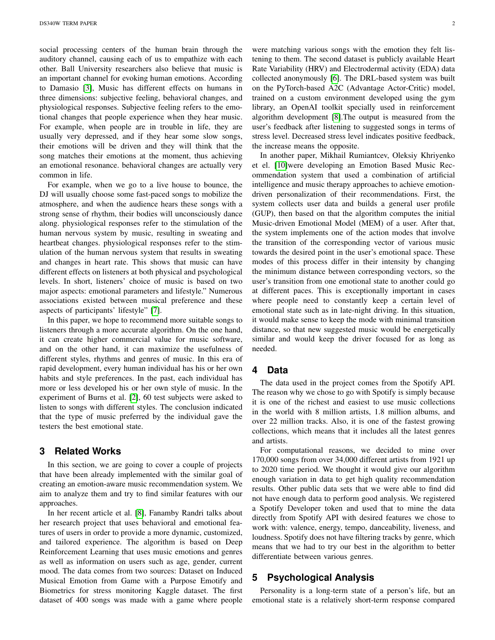social processing centers of the human brain through the auditory channel, causing each of us to empathize with each other. Ball University researchers also believe that music is an important channel for evoking human emotions. According to Damasio [\[3\]](#page-5-4), Music has different effects on humans in three dimensions: subjective feeling, behavioral changes, and physiological responses. Subjective feeling refers to the emotional changes that people experience when they hear music. For example, when people are in trouble in life, they are usually very depressed, and if they hear some slow songs, their emotions will be driven and they will think that the song matches their emotions at the moment, thus achieving an emotional resonance. behavioral changes are actually very common in life.

For example, when we go to a live house to bounce, the DJ will usually choose some fast-paced songs to mobilize the atmosphere, and when the audience hears these songs with a strong sense of rhythm, their bodies will unconsciously dance along. physiological responses refer to the stimulation of the human nervous system by music, resulting in sweating and heartbeat changes. physiological responses refer to the stimulation of the human nervous system that results in sweating and changes in heart rate. This shows that music can have different effects on listeners at both physical and psychological levels. In short, listeners' choice of music is based on two major aspects: emotional parameters and lifestyle." Numerous associations existed between musical preference and these aspects of participants' lifestyle" [\[7\]](#page-5-5).

In this paper, we hope to recommend more suitable songs to listeners through a more accurate algorithm. On the one hand, it can create higher commercial value for music software, and on the other hand, it can maximize the usefulness of different styles, rhythms and genres of music. In this era of rapid development, every human individual has his or her own habits and style preferences. In the past, each individual has more or less developed his or her own style of music. In the experiment of Burns et al. [\[2\]](#page-5-6), 60 test subjects were asked to listen to songs with different styles. The conclusion indicated that the type of music preferred by the individual gave the testers the best emotional state.

#### **3 Related Works**

In this section, we are going to cover a couple of projects that have been already implemented with the similar goal of creating an emotion-aware music recommendation system. We aim to analyze them and try to find similar features with our approaches.

In her recent article et al. [\[8\]](#page-5-7), Fanamby Randri talks about her research project that uses behavioral and emotional features of users in order to provide a more dynamic, customized, and tailored experience. The algorithm is based on Deep Reinforcement Learning that uses music emotions and genres as well as information on users such as age, gender, current mood. The data comes from two sources: Dataset on Induced Musical Emotion from Game with a Purpose Emotify and Biometrics for stress monitoring Kaggle dataset. The first dataset of 400 songs was made with a game where people were matching various songs with the emotion they felt listening to them. The second dataset is publicly available Heart Rate Variability (HRV) and Electrodermal activity (EDA) data collected anonymously [\[6\]](#page-5-8). The DRL-based system was built on the PyTorch-based A2C (Advantage Actor-Critic) model, trained on a custom environment developed using the gym library, an OpenAI toolkit specially used in reinforcement algorithm development [\[8\]](#page-5-7).The output is measured from the user's feedback after listening to suggested songs in terms of stress level. Decreased stress level indicates positive feedback, the increase means the opposite.

In another paper, Mikhail Rumiantcev, Oleksiy Khriyenko et el. [\[10\]](#page-5-9)were developing an Emotion Based Music Recommendation system that used a combination of artificial intelligence and music therapy approaches to achieve emotiondriven personalization of their recommendations. First, the system collects user data and builds a general user profile (GUP), then based on that the algorithm computes the initial Music-driven Emotional Model (MEM) of a user. After that, the system implements one of the action modes that involve the transition of the corresponding vector of various music towards the desired point in the user's emotional space. These modes of this process differ in their intensity by changing the minimum distance between corresponding vectors, so the user's transition from one emotional state to another could go at different paces. This is exceptionally important in cases where people need to constantly keep a certain level of emotional state such as in late-night driving. In this situation, it would make sense to keep the mode with minimal transition distance, so that new suggested music would be energetically similar and would keep the driver focused for as long as needed.

## **4 Data**

The data used in the project comes from the Spotify API. The reason why we chose to go with Spotify is simply because it is one of the richest and easiest to use music collections in the world with 8 million artists, 1.8 million albums, and over 22 million tracks. Also, it is one of the fastest growing collections, which means that it includes all the latest genres and artists.

For computational reasons, we decided to mine over 170,000 songs from over 34,000 different artists from 1921 up to 2020 time period. We thought it would give our algorithm enough variation in data to get high quality recommendation results. Other public data sets that we were able to find did not have enough data to perform good analysis. We registered a Spotify Developer token and used that to mine the data directly from Spotify API with desired features we chose to work with: valence, energy, tempo, danceability, liveness, and loudness. Spotify does not have filtering tracks by genre, which means that we had to try our best in the algorithm to better differentiate between various genres.

# **5 Psychological Analysis**

Personality is a long-term state of a person's life, but an emotional state is a relatively short-term response compared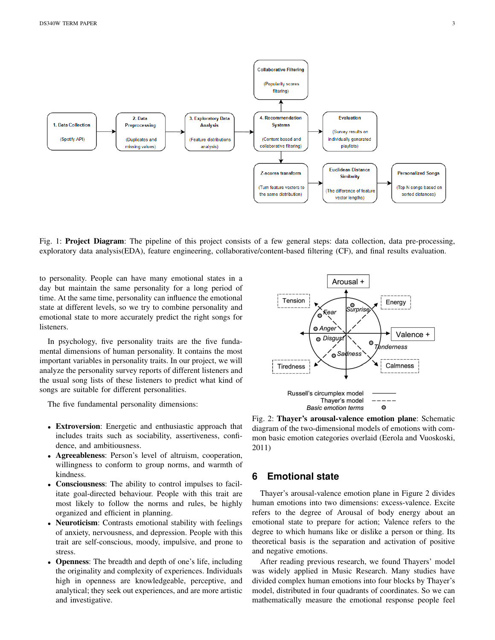

Fig. 1: Project Diagram: The pipeline of this project consists of a few general steps: data collection, data pre-processing, exploratory data analysis(EDA), feature engineering, collaborative/content-based filtering (CF), and final results evaluation.

to personality. People can have many emotional states in a day but maintain the same personality for a long period of time. At the same time, personality can influence the emotional state at different levels, so we try to combine personality and emotional state to more accurately predict the right songs for listeners.

In psychology, five personality traits are the five fundamental dimensions of human personality. It contains the most important variables in personality traits. In our project, we will analyze the personality survey reports of different listeners and the usual song lists of these listeners to predict what kind of songs are suitable for different personalities.

The five fundamental personality dimensions:

- Extroversion: Energetic and enthusiastic approach that includes traits such as sociability, assertiveness, confidence, and ambitiousness.
- Agreeableness: Person's level of altruism, cooperation, willingness to conform to group norms, and warmth of kindness.
- Consciousness: The ability to control impulses to facilitate goal-directed behaviour. People with this trait are most likely to follow the norms and rules, be highly organized and efficient in planning.
- Neuroticism: Contrasts emotional stability with feelings of anxiety, nervousness, and depression. People with this trait are self-conscious, moody, impulsive, and prone to stress.
- Openness: The breadth and depth of one's life, including the originality and complexity of experiences. Individuals high in openness are knowledgeable, perceptive, and analytical; they seek out experiences, and are more artistic and investigative.



Fig. 2: Thayer's arousal-valence emotion plane: Schematic diagram of the two-dimensional models of emotions with common basic emotion categories overlaid (Eerola and Vuoskoski, 2011)

# **6 Emotional state**

Thayer's arousal-valence emotion plane in Figure 2 divides human emotions into two dimensions: excess-valence. Excite refers to the degree of Arousal of body energy about an emotional state to prepare for action; Valence refers to the degree to which humans like or dislike a person or thing. Its theoretical basis is the separation and activation of positive and negative emotions.

After reading previous research, we found Thayers' model was widely applied in Music Research. Many studies have divided complex human emotions into four blocks by Thayer's model, distributed in four quadrants of coordinates. So we can mathematically measure the emotional response people feel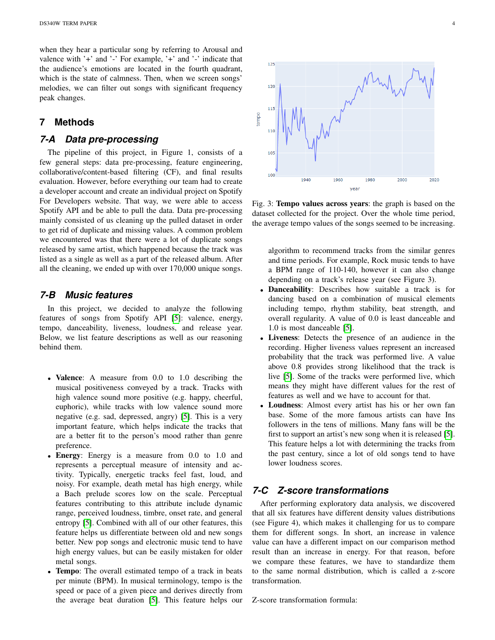when they hear a particular song by referring to Arousal and valence with '+' and '-' For example, '+' and '-' indicate that the audience's emotions are located in the fourth quadrant, which is the state of calmness. Then, when we screen songs' melodies, we can filter out songs with significant frequency peak changes.

#### **7 Methods**

## *7-A Data pre-processing*

The pipeline of this project, in Figure 1, consists of a few general steps: data pre-processing, feature engineering, collaborative/content-based filtering (CF), and final results evaluation. However, before everything our team had to create a developer account and create an individual project on Spotify For Developers website. That way, we were able to access Spotify API and be able to pull the data. Data pre-processing mainly consisted of us cleaning up the pulled dataset in order to get rid of duplicate and missing values. A common problem we encountered was that there were a lot of duplicate songs released by same artist, which happened because the track was listed as a single as well as a part of the released album. After all the cleaning, we ended up with over 170,000 unique songs.

## *7-B Music features*

In this project, we decided to analyze the following features of songs from Spotify API [\[5\]](#page-5-10): valence, energy, tempo, danceability, liveness, loudness, and release year. Below, we list feature descriptions as well as our reasoning behind them.

- Valence: A measure from 0.0 to 1.0 describing the musical positiveness conveyed by a track. Tracks with high valence sound more positive (e.g. happy, cheerful, euphoric), while tracks with low valence sound more negative (e.g. sad, depressed, angry) [\[5\]](#page-5-10). This is a very important feature, which helps indicate the tracks that are a better fit to the person's mood rather than genre preference.
- Energy: Energy is a measure from 0.0 to 1.0 and represents a perceptual measure of intensity and activity. Typically, energetic tracks feel fast, loud, and noisy. For example, death metal has high energy, while a Bach prelude scores low on the scale. Perceptual features contributing to this attribute include dynamic range, perceived loudness, timbre, onset rate, and general entropy [\[5\]](#page-5-10). Combined with all of our other features, this feature helps us differentiate between old and new songs better. New pop songs and electronic music tend to have high energy values, but can be easily mistaken for older metal songs.
- **Tempo:** The overall estimated tempo of a track in beats per minute (BPM). In musical terminology, tempo is the speed or pace of a given piece and derives directly from the average beat duration [\[5\]](#page-5-10). This feature helps our



Fig. 3: Tempo values across years: the graph is based on the dataset collected for the project. Over the whole time period, the average tempo values of the songs seemed to be increasing.

algorithm to recommend tracks from the similar genres and time periods. For example, Rock music tends to have a BPM range of 110-140, however it can also change depending on a track's release year (see Figure 3).

- Danceability: Describes how suitable a track is for dancing based on a combination of musical elements including tempo, rhythm stability, beat strength, and overall regularity. A value of 0.0 is least danceable and 1.0 is most danceable [\[5\]](#page-5-10).
- Liveness: Detects the presence of an audience in the recording. Higher liveness values represent an increased probability that the track was performed live. A value above 0.8 provides strong likelihood that the track is live [\[5\]](#page-5-10). Some of the tracks were performed live, which means they might have different values for the rest of features as well and we have to account for that.
- Loudness: Almost every artist has his or her own fan base. Some of the more famous artists can have Ins followers in the tens of millions. Many fans will be the first to support an artist's new song when it is released [\[5\]](#page-5-10). This feature helps a lot with determining the tracks from the past century, since a lot of old songs tend to have lower loudness scores.

# *7-C Z-score transformations*

After performing exploratory data analysis, we discovered that all six features have different density values distributions (see Figure 4), which makes it challenging for us to compare them for different songs. In short, an increase in valence value can have a different impact on our comparison method result than an increase in energy. For that reason, before we compare these features, we have to standardize them to the same normal distribution, which is called a z-score transformation.

Z-score transformation formula: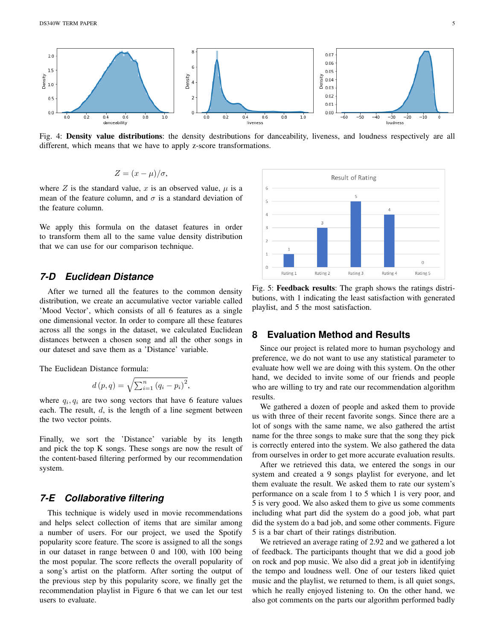

Fig. 4: Density value distributions: the density destributions for danceability, liveness, and loudness respectively are all different, which means that we have to apply z-score transformations.

$$
Z = (x - \mu)/\sigma,
$$

where Z is the standard value, x is an observed value,  $\mu$  is a mean of the feature column, and  $\sigma$  is a standard deviation of the feature column.

We apply this formula on the dataset features in order to transform them all to the same value density distribution that we can use for our comparison technique.

## *7-D Euclidean Distance*

After we turned all the features to the common density distribution, we create an accumulative vector variable called 'Mood Vector', which consists of all 6 features as a single one dimensional vector. In order to compare all these features across all the songs in the dataset, we calculated Euclidean distances between a chosen song and all the other songs in our dateset and save them as a 'Distance' variable.

The Euclidean Distance formula:

$$
d(p,q) = \sqrt{\sum_{i=1}^{n} (q_i - p_i)^2},
$$

where  $q_i, q_i$  are two song vectors that have 6 feature values each. The result,  $d$ , is the length of a line segment between the two vector points.

Finally, we sort the 'Distance' variable by its length and pick the top K songs. These songs are now the result of the content-based filtering performed by our recommendation system.

# *7-E Collaborative filtering*

This technique is widely used in movie recommendations and helps select collection of items that are similar among a number of users. For our project, we used the Spotify popularity score feature. The score is assigned to all the songs in our dataset in range between 0 and 100, with 100 being the most popular. The score reflects the overall popularity of a song's artist on the platform. After sorting the output of the previous step by this popularity score, we finally get the recommendation playlist in Figure 6 that we can let our test users to evaluate.



Fig. 5: Feedback results: The graph shows the ratings distributions, with 1 indicating the least satisfaction with generated playlist, and 5 the most satisfaction.

## **8 Evaluation Method and Results**

Since our project is related more to human psychology and preference, we do not want to use any statistical parameter to evaluate how well we are doing with this system. On the other hand, we decided to invite some of our friends and people who are willing to try and rate our recommendation algorithm results.

We gathered a dozen of people and asked them to provide us with three of their recent favorite songs. Since there are a lot of songs with the same name, we also gathered the artist name for the three songs to make sure that the song they pick is correctly entered into the system. We also gathered the data from ourselves in order to get more accurate evaluation results.

After we retrieved this data, we entered the songs in our system and created a 9 songs playlist for everyone, and let them evaluate the result. We asked them to rate our system's performance on a scale from 1 to 5 which 1 is very poor, and 5 is very good. We also asked them to give us some comments including what part did the system do a good job, what part did the system do a bad job, and some other comments. Figure 5 is a bar chart of their ratings distribution.

We retrieved an average rating of 2.92 and we gathered a lot of feedback. The participants thought that we did a good job on rock and pop music. We also did a great job in identifying the tempo and loudness well. One of our testers liked quiet music and the playlist, we returned to them, is all quiet songs, which he really enjoyed listening to. On the other hand, we also got comments on the parts our algorithm performed badly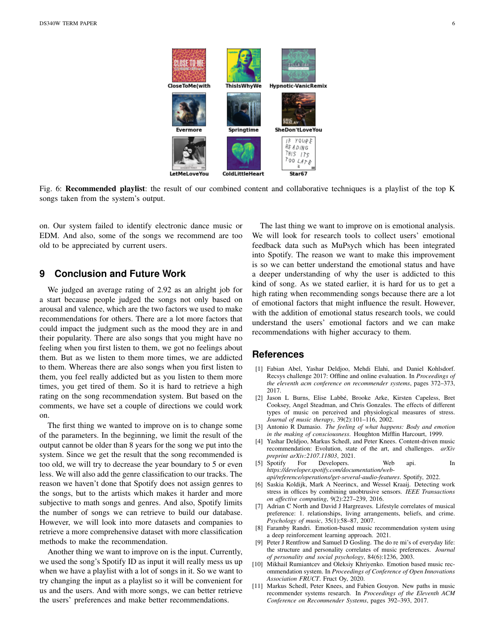

Fig. 6: Recommended playlist: the result of our combined content and collaborative techniques is a playlist of the top K songs taken from the system's output.

on. Our system failed to identify electronic dance music or EDM. And also, some of the songs we recommend are too old to be appreciated by current users.

# **9 Conclusion and Future Work**

We judged an average rating of 2.92 as an alright job for a start because people judged the songs not only based on arousal and valence, which are the two factors we used to make recommendations for others. There are a lot more factors that could impact the judgment such as the mood they are in and their popularity. There are also songs that you might have no feeling when you first listen to them, we got no feelings about them. But as we listen to them more times, we are addicted to them. Whereas there are also songs when you first listen to them, you feel really addicted but as you listen to them more times, you get tired of them. So it is hard to retrieve a high rating on the song recommendation system. But based on the comments, we have set a couple of directions we could work on.

The first thing we wanted to improve on is to change some of the parameters. In the beginning, we limit the result of the output cannot be older than 8 years for the song we put into the system. Since we get the result that the song recommended is too old, we will try to decrease the year boundary to 5 or even less. We will also add the genre classification to our tracks. The reason we haven't done that Spotify does not assign genres to the songs, but to the artists which makes it harder and more subjective to math songs and genres. And also, Spotify limits the number of songs we can retrieve to build our database. However, we will look into more datasets and companies to retrieve a more comprehensive dataset with more classification methods to make the recommendation.

Another thing we want to improve on is the input. Currently, we used the song's Spotify ID as input it will really mess us up when we have a playlist with a lot of songs in it. So we want to try changing the input as a playlist so it will be convenient for us and the users. And with more songs, we can better retrieve the users' preferences and make better recommendations.

The last thing we want to improve on is emotional analysis. We will look for research tools to collect users' emotional feedback data such as MuPsych which has been integrated into Spotify. The reason we want to make this improvement is so we can better understand the emotional status and have a deeper understanding of why the user is addicted to this kind of song. As we stated earlier, it is hard for us to get a high rating when recommending songs because there are a lot of emotional factors that might influence the result. However, with the addition of emotional status research tools, we could understand the users' emotional factors and we can make recommendations with higher accuracy to them.

#### **References**

- <span id="page-5-2"></span>[1] Fabian Abel, Yashar Deldjoo, Mehdi Elahi, and Daniel Kohlsdorf. Recsys challenge 2017: Offline and online evaluation. In *Proceedings of the eleventh acm conference on recommender systems*, pages 372–373, 2017.
- <span id="page-5-6"></span>[2] Jason L Burns, Elise Labbé, Brooke Arke, Kirsten Capeless, Bret Cooksey, Angel Steadman, and Chris Gonzales. The effects of different types of music on perceived and physiological measures of stress. *Journal of music therapy*, 39(2):101–116, 2002.
- <span id="page-5-4"></span>[3] Antonio R Damasio. *The feeling of what happens: Body and emotion in the making of consciousness*. Houghton Mifflin Harcourt, 1999.
- <span id="page-5-0"></span>[4] Yashar Deldjoo, Markus Schedl, and Peter Knees. Content-driven music recommendation: Evolution, state of the art, and challenges. *arXiv preprint arXiv:2107.11803*, 2021.
- <span id="page-5-10"></span>[5] Spotify For Developers. Web api. In *https://developer.spotify.com/documentation/webapi/reference/operations/get-several-audio-features*. Spotify, 2022.
- <span id="page-5-8"></span>[6] Saskia Koldijk, Mark A Neerincx, and Wessel Kraaij. Detecting work stress in offices by combining unobtrusive sensors. *IEEE Transactions on affective computing*, 9(2):227–239, 2016.
- <span id="page-5-5"></span>[7] Adrian C North and David J Hargreaves. Lifestyle correlates of musical preference: 1. relationships, living arrangements, beliefs, and crime. *Psychology of music*, 35(1):58–87, 2007.
- <span id="page-5-7"></span>[8] Faramby Randri. Emotion-based music recommendation system using a deep reinforcement learning approach. 2021.
- <span id="page-5-3"></span>[9] Peter J Rentfrow and Samuel D Gosling. The do re mi's of everyday life: the structure and personality correlates of music preferences. *Journal of personality and social psychology*, 84(6):1236, 2003.
- <span id="page-5-9"></span>[10] Mikhail Rumiantcev and Oleksiy Khriyenko. Emotion based music recommendation system. In *Proceedings of Conference of Open Innovations Association FRUCT*. Fruct Oy, 2020.
- <span id="page-5-1"></span>[11] Markus Schedl, Peter Knees, and Fabien Gouyon. New paths in music recommender systems research. In *Proceedings of the Eleventh ACM Conference on Recommender Systems*, pages 392–393, 2017.